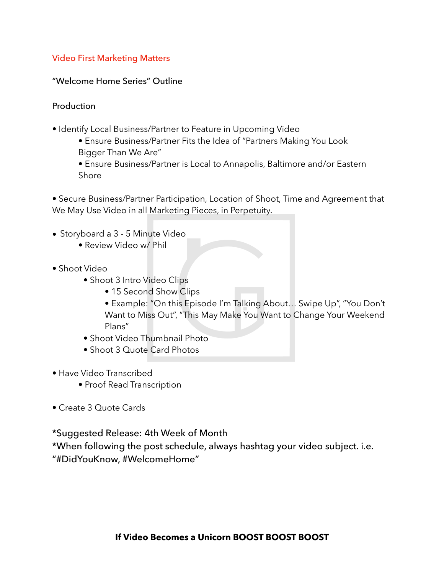## Video First Marketing Matters

"Welcome Home Series" Outline

**Production** 

- Identify Local Business/Partner to Feature in Upcoming Video
	- Ensure Business/Partner Fits the Idea of "Partners Making You Look Bigger Than We Are"
	- Ensure Business/Partner is Local to Annapolis, Baltimore and/or Eastern Shore

• Secure Business/Partner Participation, Location of Shoot, Time and Agreement that We May Use Video in all Marketing Pieces, in Perpetuity.

- Storyboard a 3 5 Minute Video
	- Review Video w/ Phil
- Shoot Video
	- Shoot 3 Intro Video Clips
		- 15 Second Show Clips
		- Example: "On this Episode I'm Talking About… Swipe Up", "You Don't Want to Miss Out", "This May Make You Want to Change Your Weekend Plans"
	- Shoot Video Thumbnail Photo
	- Shoot 3 Quote Card Photos
- Have Video Transcribed
	- Proof Read Transcription
- Create 3 Quote Cards

\*Suggested Release: 4th Week of Month

\*When following the post schedule, always hashtag your video subject. i.e. "#DidYouKnow, #WelcomeHome"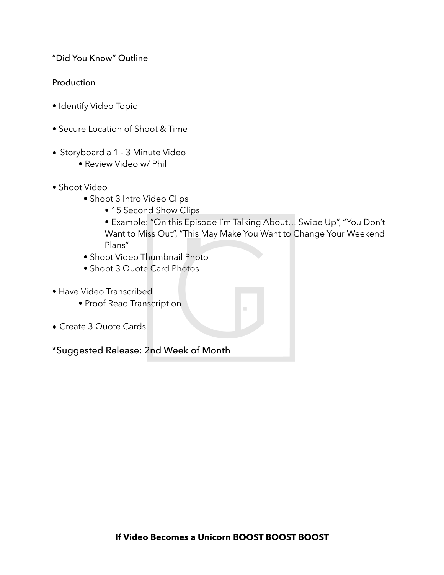"Did You Know" Outline

## **Production**

- Identify Video Topic
- Secure Location of Shoot & Time
- Storyboard a 1 3 Minute Video
	- Review Video w/ Phil
- Shoot Video
	- Shoot 3 Intro Video Clips
		- 15 Second Show Clips
		- Example: "On this Episode I'm Talking About… Swipe Up", "You Don't Want to Miss Out", "This May Make You Want to Change Your Weekend Plans"
	- Shoot Video Thumbnail Photo
	- Shoot 3 Quote Card Photos
- Have Video Transcribed
	- Proof Read Transcription
- Create 3 Quote Cards

\*Suggested Release: 2nd Week of Month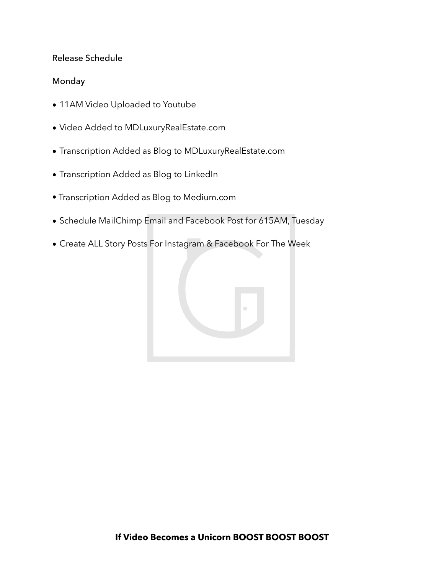#### Release Schedule

#### Monday

- 11AM Video Uploaded to Youtube
- Video Added to MDLuxuryRealEstate.com
- Transcription Added as Blog to MDLuxuryRealEstate.com
- Transcription Added as Blog to LinkedIn
- Transcription Added as Blog to Medium.com
- Schedule MailChimp Email and Facebook Post for 615AM, Tuesday
- Create ALL Story Posts For Instagram & Facebook For The Week

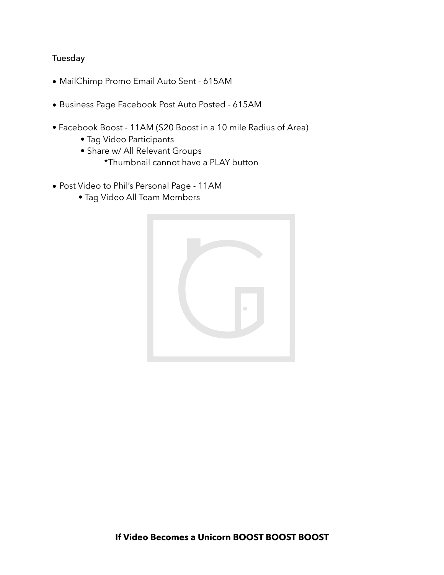## Tuesday

- MailChimp Promo Email Auto Sent 615AM
- Business Page Facebook Post Auto Posted 615AM
- Facebook Boost 11AM (\$20 Boost in a 10 mile Radius of Area)
	- Tag Video Participants
	- Share w/ All Relevant Groups \*Thumbnail cannot have a PLAY button
- Post Video to Phil's Personal Page 11AM
	- Tag Video All Team Members

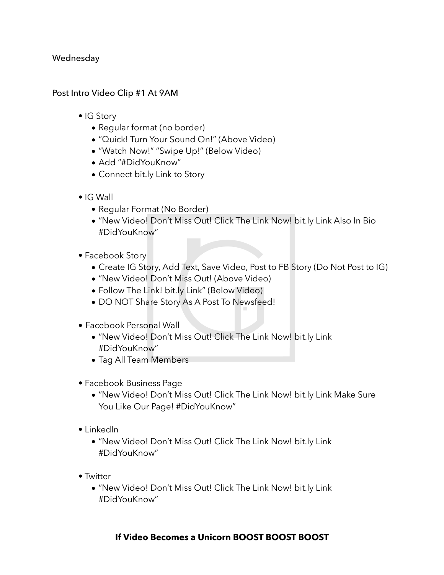#### Wednesday

#### Post Intro Video Clip #1 At 9AM

- IG Story
	- Regular format (no border)
	- "Quick! Turn Your Sound On!" (Above Video)
	- "Watch Now!" "Swipe Up!" (Below Video)
	- Add "#DidYouKnow"
	- Connect bit.ly Link to Story
- IG Wall
	- Regular Format (No Border)
	- "New Video! Don't Miss Out! Click The Link Now! bit.ly Link Also In Bio #DidYouKnow"
- Facebook Story
	- Create IG Story, Add Text, Save Video, Post to FB Story (Do Not Post to IG)
	- "New Video! Don't Miss Out! (Above Video)
	- Follow The Link! bit.ly Link" (Below Video)
	- DO NOT Share Story As A Post To Newsfeed!
- Facebook Personal Wall
	- "New Video! Don't Miss Out! Click The Link Now! bit.ly Link #DidYouKnow"
	- Tag All Team Members
- Facebook Business Page
	- "New Video! Don't Miss Out! Click The Link Now! bit.ly Link Make Sure You Like Our Page! #DidYouKnow"
- LinkedIn
	- "New Video! Don't Miss Out! Click The Link Now! bit.ly Link #DidYouKnow"
- Twitter
	- "New Video! Don't Miss Out! Click The Link Now! bit.ly Link #DidYouKnow"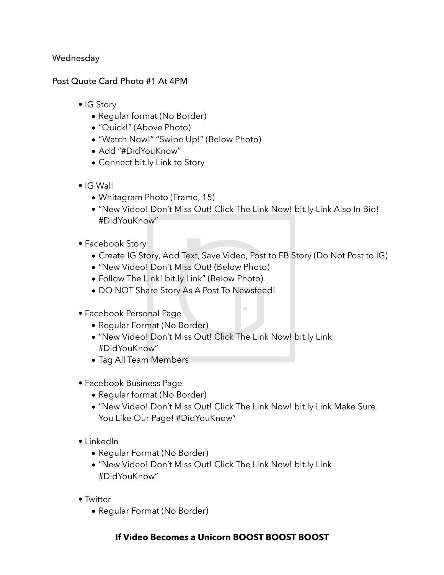#### Wednesday

#### Post Quote Card Photo #1 At 4PM

- IG Story
	- Regular format (No Border)
	- "Quick!" (Above Photo)
	- "Watch Now!" "Swipe Up!" (Below Photo)
	- Add "#DidYouKnow"
	- Connect bit.ly Link to Story
- IG Wall
	- Whitagram Photo (Frame, 15)
	- "New Video! Don't Miss Out! Click The Link Now! bit.ly Link Also In Bio! #DidYouKnow"
- Facebook Story
	- Create IG Story, Add Text, Save Video, Post to FB Story (Do Not Post to IG)

 $\mathcal{L}_{\mathcal{A}}$ 

- "New Video! Don't Miss Out! (Below Photo)
- Follow The Link! bit.ly Link" (Below Photo)
- DO NOT Share Story As A Post To Newsfeed!
- Facebook Personal Page
	- Regular Format (No Border)
	- "New Video! Don't Miss Out! Click The Link Now! bit.ly Link #DidYouKnow"
	- Tag All Team Members
- Facebook Business Page
	- Regular format (No Border)
	- "New Video! Don't Miss Out! Click The Link Now! bit.ly Link Make Sure You Like Our Page! #DidYouKnow"
- LinkedIn
	- Regular Format (No Border)
	- "New Video! Don't Miss Out! Click The Link Now! bit.ly Link #DidYouKnow"
- Twitter
	- Regular Format (No Border)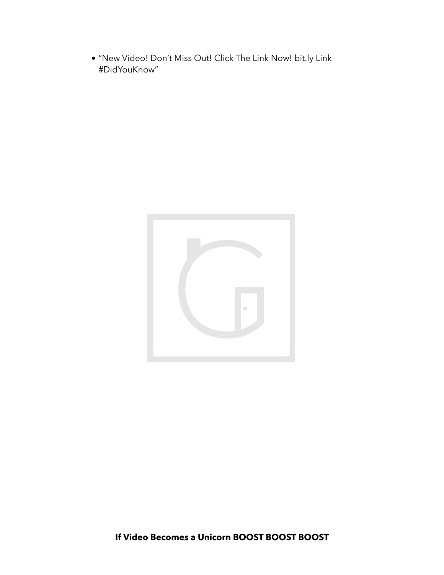• "New Video! Don't Miss Out! Click The Link Now! bit.ly Link #DidYouKnow"

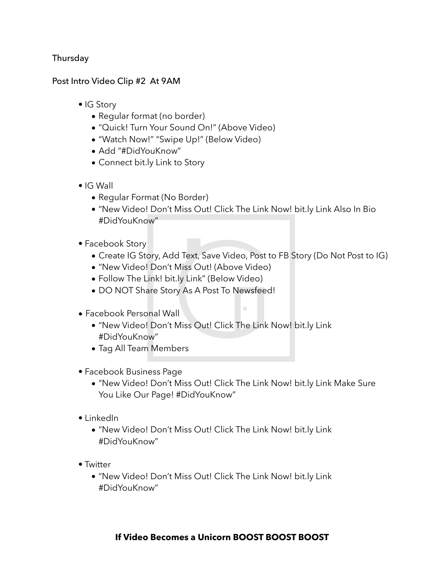## Thursday

#### Post Intro Video Clip #2 At 9AM

- IG Story
	- Regular format (no border)
	- "Quick! Turn Your Sound On!" (Above Video)
	- "Watch Now!" "Swipe Up!" (Below Video)
	- Add "#DidYouKnow"
	- Connect bit.ly Link to Story
- IG Wall
	- Regular Format (No Border)
	- "New Video! Don't Miss Out! Click The Link Now! bit.ly Link Also In Bio #DidYouKnow"
- Facebook Story
	- Create IG Story, Add Text, Save Video, Post to FB Story (Do Not Post to IG)

 $\mathcal{L}$ 

- "New Video! Don't Miss Out! (Above Video)
- Follow The Link! bit.ly Link" (Below Video)
- DO NOT Share Story As A Post To Newsfeed!
- Facebook Personal Wall
	- "New Video! Don't Miss Out! Click The Link Now! bit.ly Link #DidYouKnow"
	- Tag All Team Members
- Facebook Business Page
	- "New Video! Don't Miss Out! Click The Link Now! bit.ly Link Make Sure You Like Our Page! #DidYouKnow"
- LinkedIn
	- "New Video! Don't Miss Out! Click The Link Now! bit.ly Link #DidYouKnow"
- Twitter
	- "New Video! Don't Miss Out! Click The Link Now! bit.ly Link #DidYouKnow"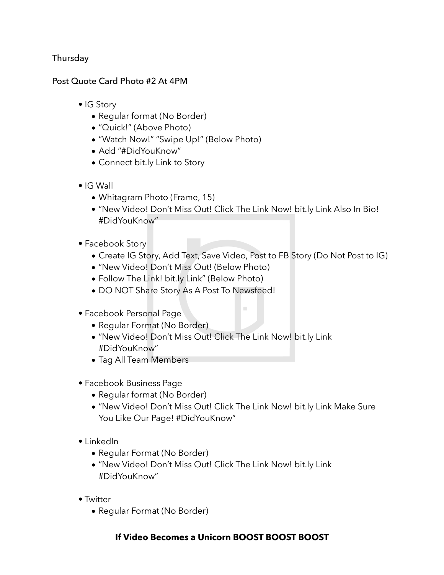## Thursday

#### Post Quote Card Photo #2 At 4PM

- IG Story
	- Regular format (No Border)
	- "Quick!" (Above Photo)
	- "Watch Now!" "Swipe Up!" (Below Photo)
	- Add "#DidYouKnow"
	- Connect bit.ly Link to Story
- IG Wall
	- Whitagram Photo (Frame, 15)
	- "New Video! Don't Miss Out! Click The Link Now! bit.ly Link Also In Bio! #DidYouKnow"
- Facebook Story
	- Create IG Story, Add Text, Save Video, Post to FB Story (Do Not Post to IG)

 $\mathcal{L}_{\mathcal{A}}$ 

- "New Video! Don't Miss Out! (Below Photo)
- Follow The Link! bit.ly Link" (Below Photo)
- DO NOT Share Story As A Post To Newsfeed!
- Facebook Personal Page
	- Regular Format (No Border)
	- "New Video! Don't Miss Out! Click The Link Now! bit.ly Link #DidYouKnow"
	- Tag All Team Members
- Facebook Business Page
	- Regular format (No Border)
	- "New Video! Don't Miss Out! Click The Link Now! bit.ly Link Make Sure You Like Our Page! #DidYouKnow"
- LinkedIn
	- Regular Format (No Border)
	- "New Video! Don't Miss Out! Click The Link Now! bit.ly Link #DidYouKnow"
- Twitter
	- Regular Format (No Border)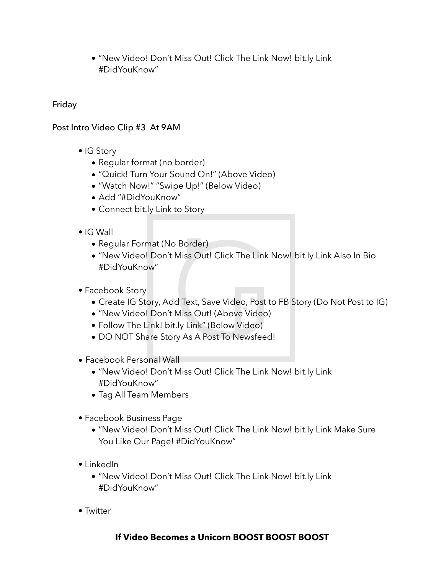• "New Video! Don't Miss Out! Click The Link Now! bit.ly Link #DidYouKnow"

## Friday

## Post Intro Video Clip #3 At 9AM

- IG Story
	- Regular format (no border)
	- "Quick! Turn Your Sound On!" (Above Video)
	- "Watch Now!" "Swipe Up!" (Below Video)
	- Add "#DidYouKnow"
	- Connect bit.ly Link to Story
- IG Wall
	- Regular Format (No Border)
	- "New Video! Don't Miss Out! Click The Link Now! bit.ly Link Also In Bio #DidYouKnow"
- Facebook Story
	- Create IG Story, Add Text, Save Video, Post to FB Story (Do Not Post to IG)
	- "New Video! Don't Miss Out! (Above Video)
	- Follow The Link! bit.ly Link" (Below Video)
	- DO NOT Share Story As A Post To Newsfeed!
- Facebook Personal Wall
	- "New Video! Don't Miss Out! Click The Link Now! bit.ly Link #DidYouKnow"
	- Tag All Team Members
- Facebook Business Page
	- "New Video! Don't Miss Out! Click The Link Now! bit.ly Link Make Sure You Like Our Page! #DidYouKnow"
- LinkedIn
	- "New Video! Don't Miss Out! Click The Link Now! bit.ly Link #DidYouKnow"
- Twitter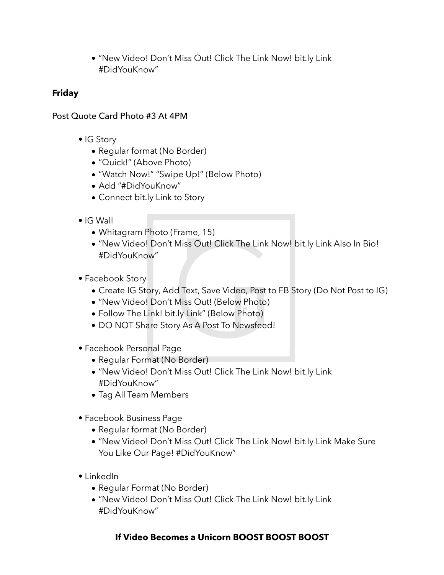• "New Video! Don't Miss Out! Click The Link Now! bit.ly Link #DidYouKnow"

## **Friday**

## Post Quote Card Photo #3 At 4PM

- IG Story
	- Regular format (No Border)
	- "Quick!" (Above Photo)
	- "Watch Now!" "Swipe Up!" (Below Photo)
	- Add "#DidYouKnow"
	- Connect bit.ly Link to Story
- IG Wall
	- Whitagram Photo (Frame, 15)
	- "New Video! Don't Miss Out! Click The Link Now! bit.ly Link Also In Bio! #DidYouKnow"
- Facebook Story
	- Create IG Story, Add Text, Save Video, Post to FB Story (Do Not Post to IG)
	- "New Video! Don't Miss Out! (Below Photo)
	- Follow The Link! bit.ly Link" (Below Photo)
	- DO NOT Share Story As A Post To Newsfeed!
- Facebook Personal Page
	- Regular Format (No Border)
	- "New Video! Don't Miss Out! Click The Link Now! bit.ly Link #DidYouKnow"
	- Tag All Team Members
- Facebook Business Page
	- Regular format (No Border)
	- "New Video! Don't Miss Out! Click The Link Now! bit.ly Link Make Sure You Like Our Page! #DidYouKnow"
- LinkedIn
	- Regular Format (No Border)
	- "New Video! Don't Miss Out! Click The Link Now! bit.ly Link #DidYouKnow"